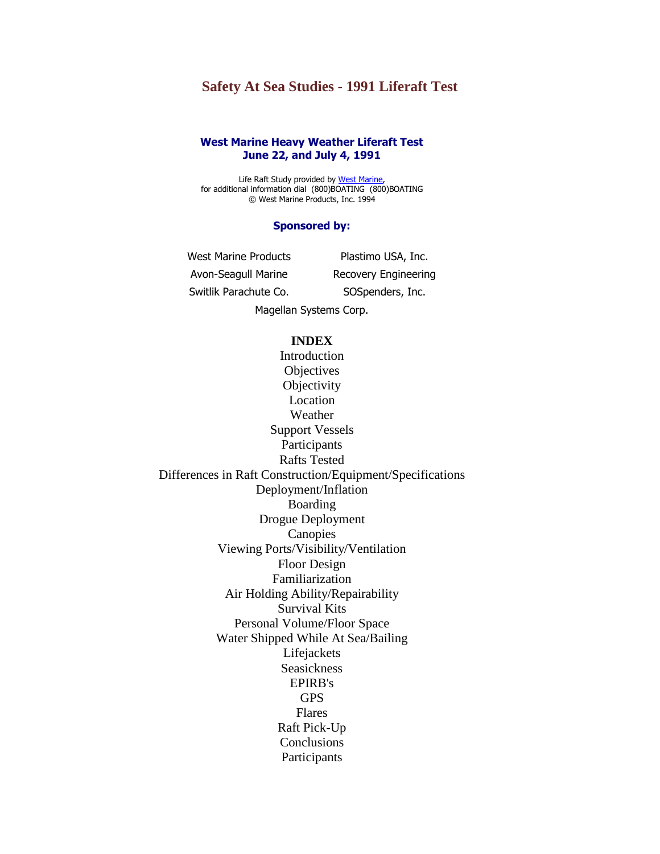# **Safety At Sea Studies - 1991 Liferaft Test**

## **West Marine Heavy Weather Liferaft Test June 22, and July 4, 1991**

Life Raft Study provided by [West Marine,](http://www.westmarine.com/) for additional information dial (800)BOATING (800)BOATING © West Marine Products, Inc. 1994

## **Sponsored by:**

West Marine Products Plastimo USA, Inc. Avon-Seagull Marine Recovery Engineering Switlik Parachute Co. SOSpenders, Inc. Magellan Systems Corp.

# **INDEX**

Introduction **Objectives Objectivity** Location Weather Support Vessels Participants Rafts Tested Differences in Raft Construction/Equipment/Specifications Deployment/Inflation Boarding Drogue Deployment **[Canopies](http://www.ussailing.org/Safety/Studies/1991rafttest1.asp#CANOPIES)** Viewing Ports/Visibility/Ventilation Floor Design Familiarization Air Holding Ability/Repairability Survival Kits Personal Volume/Floor Space Water Shipped While At Sea/Bailing Lifejackets Seasickness EPIRB's GPS Flares Raft Pick-Up **Conclusions** Participants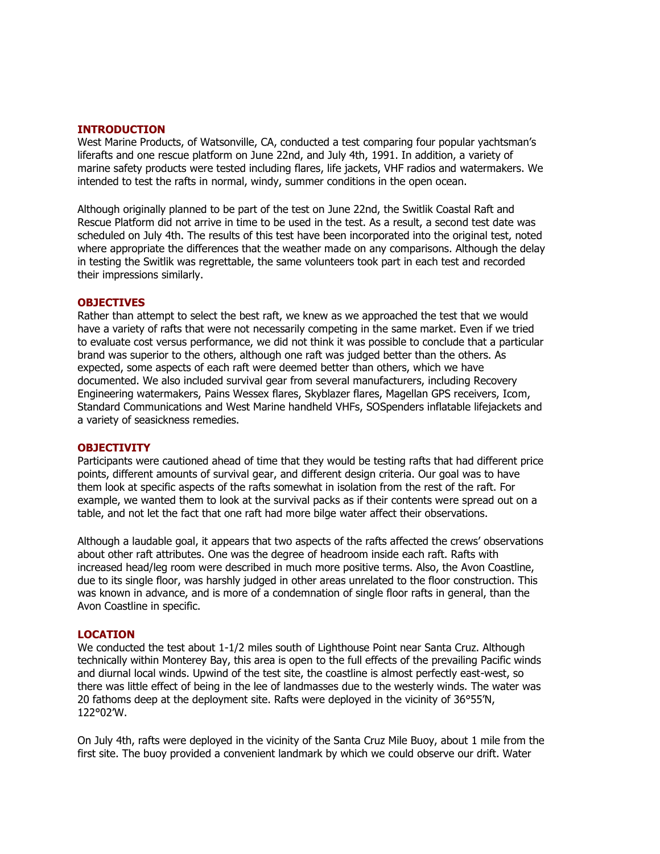#### **INTRODUCTION**

West Marine Products, of Watsonville, CA, conducted a test comparing four popular yachtsman's liferafts and one rescue platform on June 22nd, and July 4th, 1991. In addition, a variety of marine safety products were tested including flares, life jackets, VHF radios and watermakers. We intended to test the rafts in normal, windy, summer conditions in the open ocean.

Although originally planned to be part of the test on June 22nd, the Switlik Coastal Raft and Rescue Platform did not arrive in time to be used in the test. As a result, a second test date was scheduled on July 4th. The results of this test have been incorporated into the original test, noted where appropriate the differences that the weather made on any comparisons. Although the delay in testing the Switlik was regrettable, the same volunteers took part in each test and recorded their impressions similarly.

### **OBJECTIVES**

Rather than attempt to select the best raft, we knew as we approached the test that we would have a variety of rafts that were not necessarily competing in the same market. Even if we tried to evaluate cost versus performance, we did not think it was possible to conclude that a particular brand was superior to the others, although one raft was judged better than the others. As expected, some aspects of each raft were deemed better than others, which we have documented. We also included survival gear from several manufacturers, including Recovery Engineering watermakers, Pains Wessex flares, Skyblazer flares, Magellan GPS receivers, Icom, Standard Communications and West Marine handheld VHFs, SOSpenders inflatable lifejackets and a variety of seasickness remedies.

#### **OBJECTIVITY**

Participants were cautioned ahead of time that they would be testing rafts that had different price points, different amounts of survival gear, and different design criteria. Our goal was to have them look at specific aspects of the rafts somewhat in isolation from the rest of the raft. For example, we wanted them to look at the survival packs as if their contents were spread out on a table, and not let the fact that one raft had more bilge water affect their observations.

Although a laudable goal, it appears that two aspects of the rafts affected the crews' observations about other raft attributes. One was the degree of headroom inside each raft. Rafts with increased head/leg room were described in much more positive terms. Also, the Avon Coastline, due to its single floor, was harshly judged in other areas unrelated to the floor construction. This was known in advance, and is more of a condemnation of single floor rafts in general, than the Avon Coastline in specific.

#### **LOCATION**

We conducted the test about 1-1/2 miles south of Lighthouse Point near Santa Cruz. Although technically within Monterey Bay, this area is open to the full effects of the prevailing Pacific winds and diurnal local winds. Upwind of the test site, the coastline is almost perfectly east-west, so there was little effect of being in the lee of landmasses due to the westerly winds. The water was 20 fathoms deep at the deployment site. Rafts were deployed in the vicinity of 36°55'N, 122°02'W.

On July 4th, rafts were deployed in the vicinity of the Santa Cruz Mile Buoy, about 1 mile from the first site. The buoy provided a convenient landmark by which we could observe our drift. Water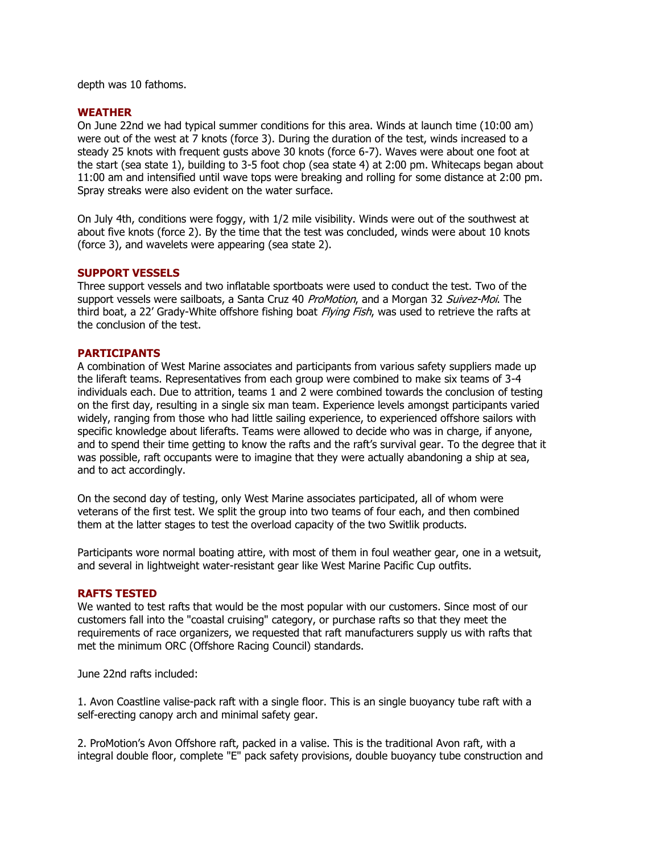depth was 10 fathoms.

## **WEATHER**

On June 22nd we had typical summer conditions for this area. Winds at launch time (10:00 am) were out of the west at 7 knots (force 3). During the duration of the test, winds increased to a steady 25 knots with frequent gusts above 30 knots (force 6-7). Waves were about one foot at the start (sea state 1), building to 3-5 foot chop (sea state 4) at 2:00 pm. Whitecaps began about 11:00 am and intensified until wave tops were breaking and rolling for some distance at 2:00 pm. Spray streaks were also evident on the water surface.

On July 4th, conditions were foggy, with 1/2 mile visibility. Winds were out of the southwest at about five knots (force 2). By the time that the test was concluded, winds were about 10 knots (force 3), and wavelets were appearing (sea state 2).

## **SUPPORT VESSELS**

Three support vessels and two inflatable sportboats were used to conduct the test. Two of the support vessels were sailboats, a Santa Cruz 40 ProMotion, and a Morgan 32 Suivez-Moi. The third boat, a 22' Grady-White offshore fishing boat Flying Fish, was used to retrieve the rafts at the conclusion of the test.

## **PARTICIPANTS**

A combination of West Marine associates and participants from various safety suppliers made up the liferaft teams. Representatives from each group were combined to make six teams of 3-4 individuals each. Due to attrition, teams 1 and 2 were combined towards the conclusion of testing on the first day, resulting in a single six man team. Experience levels amongst participants varied widely, ranging from those who had little sailing experience, to experienced offshore sailors with specific knowledge about liferafts. Teams were allowed to decide who was in charge, if anyone, and to spend their time getting to know the rafts and the raft's survival gear. To the degree that it was possible, raft occupants were to imagine that they were actually abandoning a ship at sea, and to act accordingly.

On the second day of testing, only West Marine associates participated, all of whom were veterans of the first test. We split the group into two teams of four each, and then combined them at the latter stages to test the overload capacity of the two Switlik products.

Participants wore normal boating attire, with most of them in foul weather gear, one in a wetsuit, and several in lightweight water-resistant gear like West Marine Pacific Cup outfits.

## **RAFTS TESTED**

We wanted to test rafts that would be the most popular with our customers. Since most of our customers fall into the "coastal cruising" category, or purchase rafts so that they meet the requirements of race organizers, we requested that raft manufacturers supply us with rafts that met the minimum ORC (Offshore Racing Council) standards.

June 22nd rafts included:

1. Avon Coastline valise-pack raft with a single floor. This is an single buoyancy tube raft with a self-erecting canopy arch and minimal safety gear.

2. ProMotion's Avon Offshore raft, packed in a valise. This is the traditional Avon raft, with a integral double floor, complete "E" pack safety provisions, double buoyancy tube construction and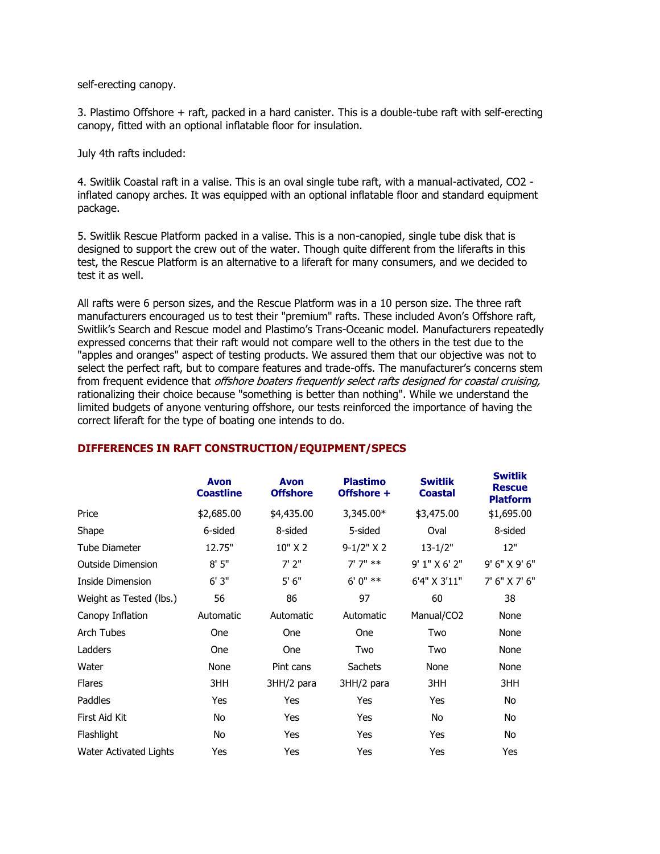self-erecting canopy.

3. Plastimo Offshore + raft, packed in a hard canister. This is a double-tube raft with self-erecting canopy, fitted with an optional inflatable floor for insulation.

July 4th rafts included:

4. Switlik Coastal raft in a valise. This is an oval single tube raft, with a manual-activated, CO2 inflated canopy arches. It was equipped with an optional inflatable floor and standard equipment package.

5. Switlik Rescue Platform packed in a valise. This is a non-canopied, single tube disk that is designed to support the crew out of the water. Though quite different from the liferafts in this test, the Rescue Platform is an alternative to a liferaft for many consumers, and we decided to test it as well.

All rafts were 6 person sizes, and the Rescue Platform was in a 10 person size. The three raft manufacturers encouraged us to test their "premium" rafts. These included Avon's Offshore raft, Switlik's Search and Rescue model and Plastimo's Trans-Oceanic model. Manufacturers repeatedly expressed concerns that their raft would not compare well to the others in the test due to the "apples and oranges" aspect of testing products. We assured them that our objective was not to select the perfect raft, but to compare features and trade-offs. The manufacturer's concerns stem from frequent evidence that *offshore boaters frequently select rafts designed for coastal cruising,* rationalizing their choice because "something is better than nothing". While we understand the limited budgets of anyone venturing offshore, our tests reinforced the importance of having the correct liferaft for the type of boating one intends to do.

|                          | <b>Avon</b><br><b>Coastline</b> | <b>Avon</b><br><b>Offshore</b> | <b>Plastimo</b><br>Offshore + | <b>Switlik</b><br><b>Coastal</b> | <b>Switlik</b><br><b>Rescue</b><br><b>Platform</b> |
|--------------------------|---------------------------------|--------------------------------|-------------------------------|----------------------------------|----------------------------------------------------|
| Price                    | \$2,685.00                      | \$4,435.00                     | 3,345.00*                     | \$3,475.00                       | \$1,695.00                                         |
| Shape                    | 6-sided                         | 8-sided                        | 5-sided                       | Oval                             | 8-sided                                            |
| <b>Tube Diameter</b>     | 12.75"                          | $10"$ X 2                      | $9-1/2$ " X 2                 | $13 - 1/2"$                      | 12"                                                |
| <b>Outside Dimension</b> | 8'5''                           | $7'$ 2"                        | $7'7''$ **                    | 9' 1" X 6' 2"                    | 9' 6" X 9' 6"                                      |
| Inside Dimension         | 6'3''                           | 5'6''                          | $6'0''$ **                    | 6'4" X 3'11"                     | 7' 6" X 7' 6"                                      |
| Weight as Tested (lbs.)  | 56                              | 86                             | 97                            | 60                               | 38                                                 |
| Canopy Inflation         | Automatic                       | Automatic                      | Automatic                     | Manual/CO <sub>2</sub>           | None                                               |
| <b>Arch Tubes</b>        | <b>One</b>                      | <b>One</b>                     | <b>One</b>                    | Two                              | None                                               |
| Ladders                  | <b>One</b>                      | <b>One</b>                     | Two                           | Two                              | None                                               |
| Water                    | None                            | Pint cans                      | <b>Sachets</b>                | None                             | None                                               |
| <b>Flares</b>            | 3HH                             | 3HH/2 para                     | 3HH/2 para                    | 3HH                              | 3HH                                                |
| Paddles                  | Yes                             | Yes                            | Yes                           | <b>Yes</b>                       | No                                                 |
| First Aid Kit            | No                              | Yes                            | Yes                           | No                               | No                                                 |
| Flashlight               | No                              | Yes                            | Yes                           | Yes                              | No                                                 |
| Water Activated Lights   | Yes                             | Yes                            | Yes                           | Yes                              | Yes                                                |

# **DIFFERENCES IN RAFT CONSTRUCTION/EQUIPMENT/SPECS**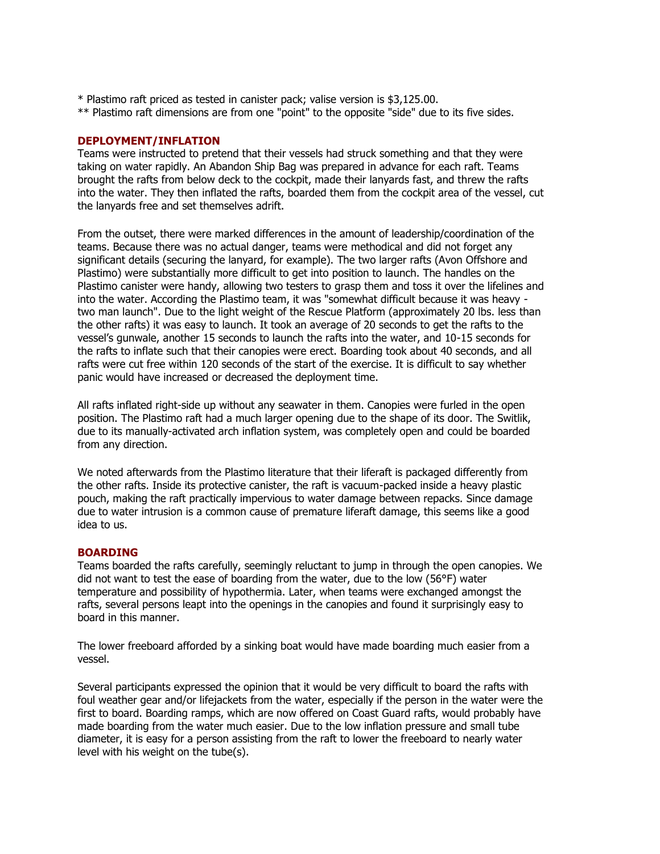- \* Plastimo raft priced as tested in canister pack; valise version is \$3,125.00.
- \*\* Plastimo raft dimensions are from one "point" to the opposite "side" due to its five sides.

## **DEPLOYMENT/INFLATION**

Teams were instructed to pretend that their vessels had struck something and that they were taking on water rapidly. An Abandon Ship Bag was prepared in advance for each raft. Teams brought the rafts from below deck to the cockpit, made their lanyards fast, and threw the rafts into the water. They then inflated the rafts, boarded them from the cockpit area of the vessel, cut the lanyards free and set themselves adrift.

From the outset, there were marked differences in the amount of leadership/coordination of the teams. Because there was no actual danger, teams were methodical and did not forget any significant details (securing the lanyard, for example). The two larger rafts (Avon Offshore and Plastimo) were substantially more difficult to get into position to launch. The handles on the Plastimo canister were handy, allowing two testers to grasp them and toss it over the lifelines and into the water. According the Plastimo team, it was "somewhat difficult because it was heavy two man launch". Due to the light weight of the Rescue Platform (approximately 20 lbs. less than the other rafts) it was easy to launch. It took an average of 20 seconds to get the rafts to the vessel's gunwale, another 15 seconds to launch the rafts into the water, and 10-15 seconds for the rafts to inflate such that their canopies were erect. Boarding took about 40 seconds, and all rafts were cut free within 120 seconds of the start of the exercise. It is difficult to say whether panic would have increased or decreased the deployment time.

All rafts inflated right-side up without any seawater in them. Canopies were furled in the open position. The Plastimo raft had a much larger opening due to the shape of its door. The Switlik, due to its manually-activated arch inflation system, was completely open and could be boarded from any direction.

We noted afterwards from the Plastimo literature that their liferaft is packaged differently from the other rafts. Inside its protective canister, the raft is vacuum-packed inside a heavy plastic pouch, making the raft practically impervious to water damage between repacks. Since damage due to water intrusion is a common cause of premature liferaft damage, this seems like a good idea to us.

# **BOARDING**

Teams boarded the rafts carefully, seemingly reluctant to jump in through the open canopies. We did not want to test the ease of boarding from the water, due to the low (56°F) water temperature and possibility of hypothermia. Later, when teams were exchanged amongst the rafts, several persons leapt into the openings in the canopies and found it surprisingly easy to board in this manner.

The lower freeboard afforded by a sinking boat would have made boarding much easier from a vessel.

Several participants expressed the opinion that it would be very difficult to board the rafts with foul weather gear and/or lifejackets from the water, especially if the person in the water were the first to board. Boarding ramps, which are now offered on Coast Guard rafts, would probably have made boarding from the water much easier. Due to the low inflation pressure and small tube diameter, it is easy for a person assisting from the raft to lower the freeboard to nearly water level with his weight on the tube(s).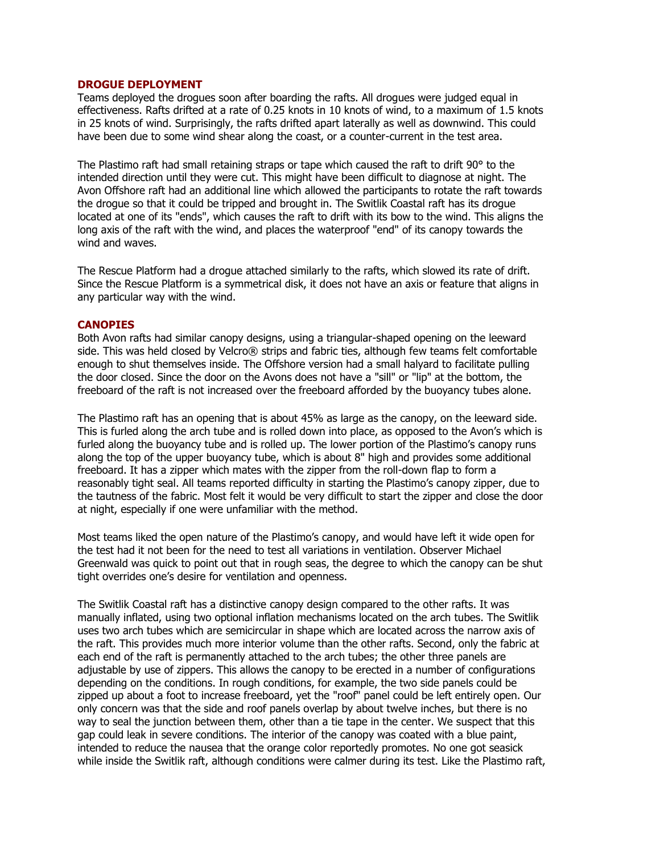### **DROGUE DEPLOYMENT**

Teams deployed the drogues soon after boarding the rafts. All drogues were judged equal in effectiveness. Rafts drifted at a rate of 0.25 knots in 10 knots of wind, to a maximum of 1.5 knots in 25 knots of wind. Surprisingly, the rafts drifted apart laterally as well as downwind. This could have been due to some wind shear along the coast, or a counter-current in the test area.

The Plastimo raft had small retaining straps or tape which caused the raft to drift 90° to the intended direction until they were cut. This might have been difficult to diagnose at night. The Avon Offshore raft had an additional line which allowed the participants to rotate the raft towards the drogue so that it could be tripped and brought in. The Switlik Coastal raft has its drogue located at one of its "ends", which causes the raft to drift with its bow to the wind. This aligns the long axis of the raft with the wind, and places the waterproof "end" of its canopy towards the wind and waves.

The Rescue Platform had a drogue attached similarly to the rafts, which slowed its rate of drift. Since the Rescue Platform is a symmetrical disk, it does not have an axis or feature that aligns in any particular way with the wind.

#### **CANOPIES**

Both Avon rafts had similar canopy designs, using a triangular-shaped opening on the leeward side. This was held closed by Velcro® strips and fabric ties, although few teams felt comfortable enough to shut themselves inside. The Offshore version had a small halyard to facilitate pulling the door closed. Since the door on the Avons does not have a "sill" or "lip" at the bottom, the freeboard of the raft is not increased over the freeboard afforded by the buoyancy tubes alone.

The Plastimo raft has an opening that is about 45% as large as the canopy, on the leeward side. This is furled along the arch tube and is rolled down into place, as opposed to the Avon's which is furled along the buoyancy tube and is rolled up. The lower portion of the Plastimo's canopy runs along the top of the upper buoyancy tube, which is about 8" high and provides some additional freeboard. It has a zipper which mates with the zipper from the roll-down flap to form a reasonably tight seal. All teams reported difficulty in starting the Plastimo's canopy zipper, due to the tautness of the fabric. Most felt it would be very difficult to start the zipper and close the door at night, especially if one were unfamiliar with the method.

Most teams liked the open nature of the Plastimo's canopy, and would have left it wide open for the test had it not been for the need to test all variations in ventilation. Observer Michael Greenwald was quick to point out that in rough seas, the degree to which the canopy can be shut tight overrides one's desire for ventilation and openness.

The Switlik Coastal raft has a distinctive canopy design compared to the other rafts. It was manually inflated, using two optional inflation mechanisms located on the arch tubes. The Switlik uses two arch tubes which are semicircular in shape which are located across the narrow axis of the raft. This provides much more interior volume than the other rafts. Second, only the fabric at each end of the raft is permanently attached to the arch tubes; the other three panels are adjustable by use of zippers. This allows the canopy to be erected in a number of configurations depending on the conditions. In rough conditions, for example, the two side panels could be zipped up about a foot to increase freeboard, yet the "roof" panel could be left entirely open. Our only concern was that the side and roof panels overlap by about twelve inches, but there is no way to seal the junction between them, other than a tie tape in the center. We suspect that this gap could leak in severe conditions. The interior of the canopy was coated with a blue paint, intended to reduce the nausea that the orange color reportedly promotes. No one got seasick while inside the Switlik raft, although conditions were calmer during its test. Like the Plastimo raft,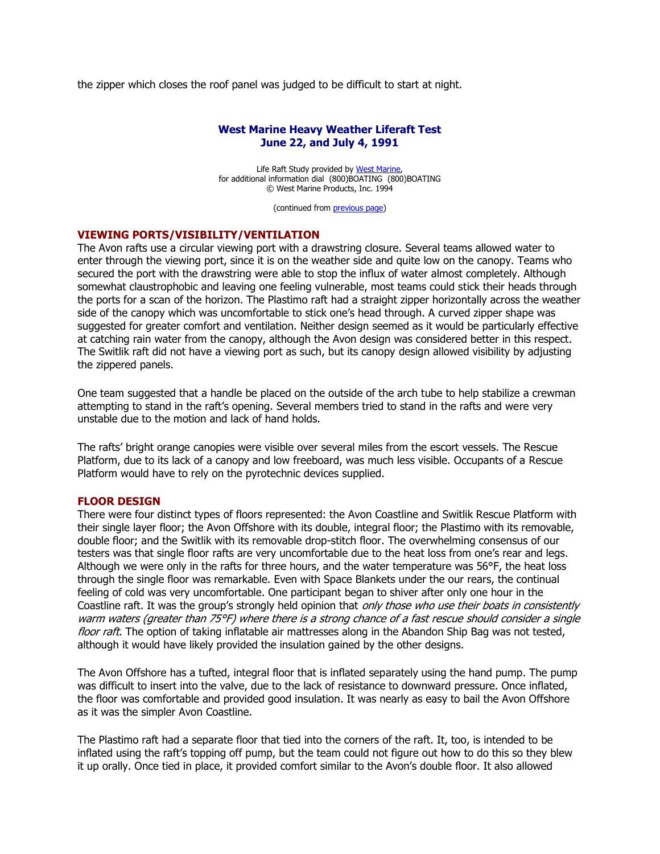the zipper which closes the roof panel was judged to be difficult to start at night.

## **West Marine Heavy Weather Liferaft Test June 22, and July 4, 1991**

Life Raft Study provided by West Marine, for additional information dial (800)BOATING (800)BOATING © West Marine Products, Inc. 1994

(continued from [previous page\)](http://www.ussailing.org/Safety/Studies/1991rafttest1.asp)

#### **VIEWING PORTS/VISIBILITY/VENTILATION**

The Avon rafts use a circular viewing port with a drawstring closure. Several teams allowed water to enter through the viewing port, since it is on the weather side and quite low on the canopy. Teams who secured the port with the drawstring were able to stop the influx of water almost completely. Although somewhat claustrophobic and leaving one feeling vulnerable, most teams could stick their heads through the ports for a scan of the horizon. The Plastimo raft had a straight zipper horizontally across the weather side of the canopy which was uncomfortable to stick one's head through. A curved zipper shape was suggested for greater comfort and ventilation. Neither design seemed as it would be particularly effective at catching rain water from the canopy, although the Avon design was considered better in this respect. The Switlik raft did not have a viewing port as such, but its canopy design allowed visibility by adjusting the zippered panels.

One team suggested that a handle be placed on the outside of the arch tube to help stabilize a crewman attempting to stand in the raft's opening. Several members tried to stand in the rafts and were very unstable due to the motion and lack of hand holds.

The rafts' bright orange canopies were visible over several miles from the escort vessels. The Rescue Platform, due to its lack of a canopy and low freeboard, was much less visible. Occupants of a Rescue Platform would have to rely on the pyrotechnic devices supplied.

## **FLOOR DESIGN**

There were four distinct types of floors represented: the Avon Coastline and Switlik Rescue Platform with their single layer floor; the Avon Offshore with its double, integral floor; the Plastimo with its removable, double floor; and the Switlik with its removable drop-stitch floor. The overwhelming consensus of our testers was that single floor rafts are very uncomfortable due to the heat loss from one's rear and legs. Although we were only in the rafts for three hours, and the water temperature was 56°F, the heat loss through the single floor was remarkable. Even with Space Blankets under the our rears, the continual feeling of cold was very uncomfortable. One participant began to shiver after only one hour in the Coastline raft. It was the group's strongly held opinion that only those who use their boats in consistently warm waters (greater than 75°F) where there is a strong chance of a fast rescue should consider a single floor raft. The option of taking inflatable air mattresses along in the Abandon Ship Bag was not tested, although it would have likely provided the insulation gained by the other designs.

The Avon Offshore has a tufted, integral floor that is inflated separately using the hand pump. The pump was difficult to insert into the valve, due to the lack of resistance to downward pressure. Once inflated, the floor was comfortable and provided good insulation. It was nearly as easy to bail the Avon Offshore as it was the simpler Avon Coastline.

The Plastimo raft had a separate floor that tied into the corners of the raft. It, too, is intended to be inflated using the raft's topping off pump, but the team could not figure out how to do this so they blew it up orally. Once tied in place, it provided comfort similar to the Avon's double floor. It also allowed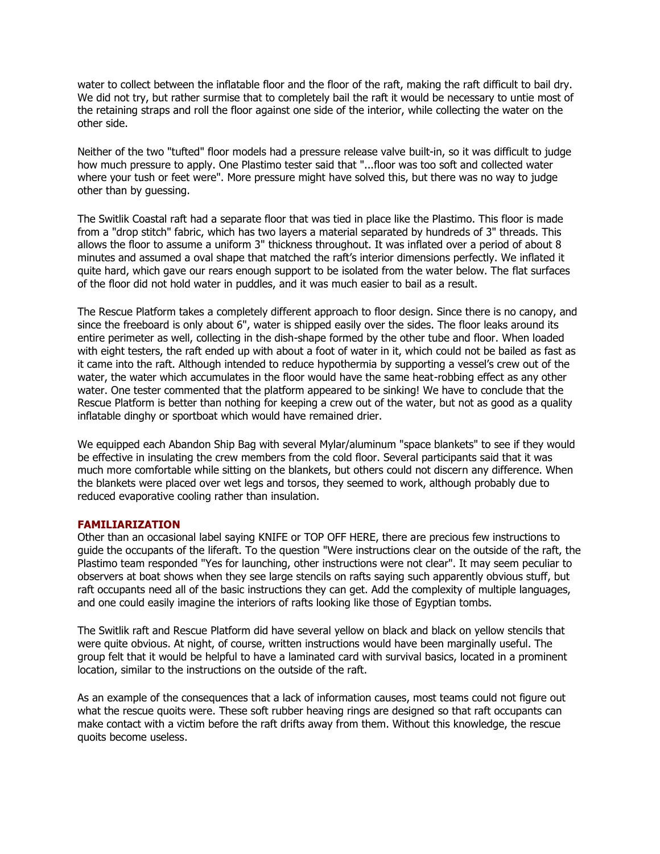water to collect between the inflatable floor and the floor of the raft, making the raft difficult to bail dry. We did not try, but rather surmise that to completely bail the raft it would be necessary to untie most of the retaining straps and roll the floor against one side of the interior, while collecting the water on the other side.

Neither of the two "tufted" floor models had a pressure release valve built-in, so it was difficult to judge how much pressure to apply. One Plastimo tester said that "...floor was too soft and collected water where your tush or feet were". More pressure might have solved this, but there was no way to judge other than by guessing.

The Switlik Coastal raft had a separate floor that was tied in place like the Plastimo. This floor is made from a "drop stitch" fabric, which has two layers a material separated by hundreds of 3" threads. This allows the floor to assume a uniform 3" thickness throughout. It was inflated over a period of about 8 minutes and assumed a oval shape that matched the raft's interior dimensions perfectly. We inflated it quite hard, which gave our rears enough support to be isolated from the water below. The flat surfaces of the floor did not hold water in puddles, and it was much easier to bail as a result.

The Rescue Platform takes a completely different approach to floor design. Since there is no canopy, and since the freeboard is only about 6", water is shipped easily over the sides. The floor leaks around its entire perimeter as well, collecting in the dish-shape formed by the other tube and floor. When loaded with eight testers, the raft ended up with about a foot of water in it, which could not be bailed as fast as it came into the raft. Although intended to reduce hypothermia by supporting a vessel's crew out of the water, the water which accumulates in the floor would have the same heat-robbing effect as any other water. One tester commented that the platform appeared to be sinking! We have to conclude that the Rescue Platform is better than nothing for keeping a crew out of the water, but not as good as a quality inflatable dinghy or sportboat which would have remained drier.

We equipped each Abandon Ship Bag with several Mylar/aluminum "space blankets" to see if they would be effective in insulating the crew members from the cold floor. Several participants said that it was much more comfortable while sitting on the blankets, but others could not discern any difference. When the blankets were placed over wet legs and torsos, they seemed to work, although probably due to reduced evaporative cooling rather than insulation.

## **FAMILIARIZATION**

Other than an occasional label saying KNIFE or TOP OFF HERE, there are precious few instructions to guide the occupants of the liferaft. To the question "Were instructions clear on the outside of the raft, the Plastimo team responded "Yes for launching, other instructions were not clear". It may seem peculiar to observers at boat shows when they see large stencils on rafts saying such apparently obvious stuff, but raft occupants need all of the basic instructions they can get. Add the complexity of multiple languages, and one could easily imagine the interiors of rafts looking like those of Egyptian tombs.

The Switlik raft and Rescue Platform did have several yellow on black and black on yellow stencils that were quite obvious. At night, of course, written instructions would have been marginally useful. The group felt that it would be helpful to have a laminated card with survival basics, located in a prominent location, similar to the instructions on the outside of the raft.

As an example of the consequences that a lack of information causes, most teams could not figure out what the rescue quoits were. These soft rubber heaving rings are designed so that raft occupants can make contact with a victim before the raft drifts away from them. Without this knowledge, the rescue quoits become useless.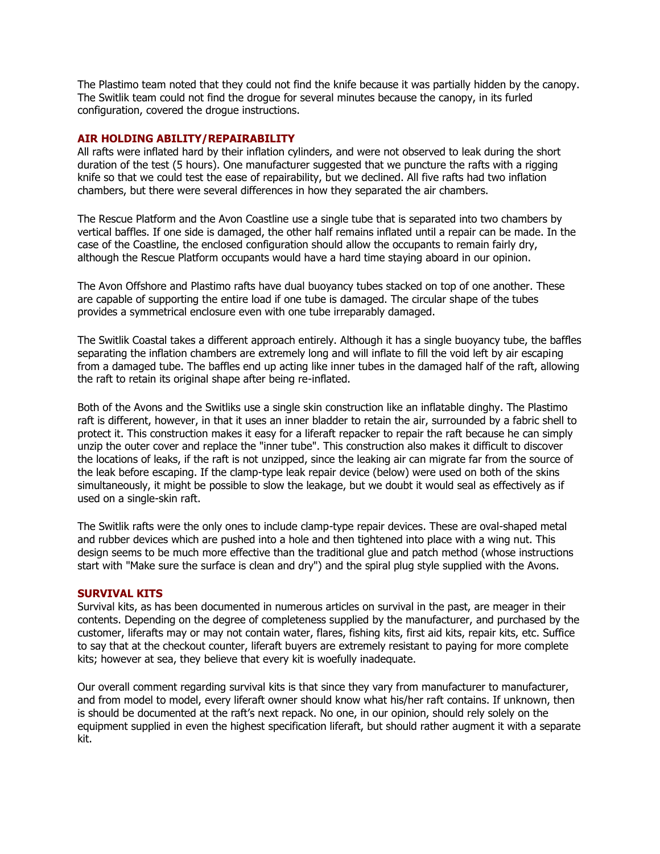The Plastimo team noted that they could not find the knife because it was partially hidden by the canopy. The Switlik team could not find the drogue for several minutes because the canopy, in its furled configuration, covered the drogue instructions.

## **AIR HOLDING ABILITY/REPAIRABILITY**

All rafts were inflated hard by their inflation cylinders, and were not observed to leak during the short duration of the test (5 hours). One manufacturer suggested that we puncture the rafts with a rigging knife so that we could test the ease of repairability, but we declined. All five rafts had two inflation chambers, but there were several differences in how they separated the air chambers.

The Rescue Platform and the Avon Coastline use a single tube that is separated into two chambers by vertical baffles. If one side is damaged, the other half remains inflated until a repair can be made. In the case of the Coastline, the enclosed configuration should allow the occupants to remain fairly dry, although the Rescue Platform occupants would have a hard time staying aboard in our opinion.

The Avon Offshore and Plastimo rafts have dual buoyancy tubes stacked on top of one another. These are capable of supporting the entire load if one tube is damaged. The circular shape of the tubes provides a symmetrical enclosure even with one tube irreparably damaged.

The Switlik Coastal takes a different approach entirely. Although it has a single buoyancy tube, the baffles separating the inflation chambers are extremely long and will inflate to fill the void left by air escaping from a damaged tube. The baffles end up acting like inner tubes in the damaged half of the raft, allowing the raft to retain its original shape after being re-inflated.

Both of the Avons and the Switliks use a single skin construction like an inflatable dinghy. The Plastimo raft is different, however, in that it uses an inner bladder to retain the air, surrounded by a fabric shell to protect it. This construction makes it easy for a liferaft repacker to repair the raft because he can simply unzip the outer cover and replace the "inner tube". This construction also makes it difficult to discover the locations of leaks, if the raft is not unzipped, since the leaking air can migrate far from the source of the leak before escaping. If the clamp-type leak repair device (below) were used on both of the skins simultaneously, it might be possible to slow the leakage, but we doubt it would seal as effectively as if used on a single-skin raft.

The Switlik rafts were the only ones to include clamp-type repair devices. These are oval-shaped metal and rubber devices which are pushed into a hole and then tightened into place with a wing nut. This design seems to be much more effective than the traditional glue and patch method (whose instructions start with "Make sure the surface is clean and dry") and the spiral plug style supplied with the Avons.

## **SURVIVAL KITS**

Survival kits, as has been documented in numerous articles on survival in the past, are meager in their contents. Depending on the degree of completeness supplied by the manufacturer, and purchased by the customer, liferafts may or may not contain water, flares, fishing kits, first aid kits, repair kits, etc. Suffice to say that at the checkout counter, liferaft buyers are extremely resistant to paying for more complete kits; however at sea, they believe that every kit is woefully inadequate.

Our overall comment regarding survival kits is that since they vary from manufacturer to manufacturer, and from model to model, every liferaft owner should know what his/her raft contains. If unknown, then is should be documented at the raft's next repack. No one, in our opinion, should rely solely on the equipment supplied in even the highest specification liferaft, but should rather augment it with a separate kit.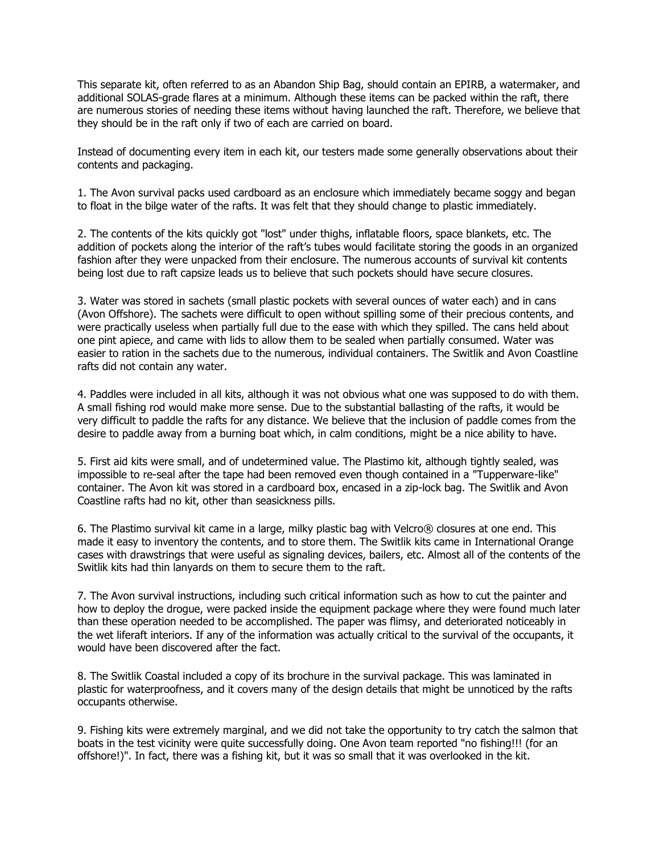This separate kit, often referred to as an Abandon Ship Bag, should contain an EPIRB, a watermaker, and additional SOLAS-grade flares at a minimum. Although these items can be packed within the raft, there are numerous stories of needing these items without having launched the raft. Therefore, we believe that they should be in the raft only if two of each are carried on board.

Instead of documenting every item in each kit, our testers made some generally observations about their contents and packaging.

1. The Avon survival packs used cardboard as an enclosure which immediately became soggy and began to float in the bilge water of the rafts. It was felt that they should change to plastic immediately.

2. The contents of the kits quickly got "lost" under thighs, inflatable floors, space blankets, etc. The addition of pockets along the interior of the raft's tubes would facilitate storing the goods in an organized fashion after they were unpacked from their enclosure. The numerous accounts of survival kit contents being lost due to raft capsize leads us to believe that such pockets should have secure closures.

3. Water was stored in sachets (small plastic pockets with several ounces of water each) and in cans (Avon Offshore). The sachets were difficult to open without spilling some of their precious contents, and were practically useless when partially full due to the ease with which they spilled. The cans held about one pint apiece, and came with lids to allow them to be sealed when partially consumed. Water was easier to ration in the sachets due to the numerous, individual containers. The Switlik and Avon Coastline rafts did not contain any water.

4. Paddles were included in all kits, although it was not obvious what one was supposed to do with them. A small fishing rod would make more sense. Due to the substantial ballasting of the rafts, it would be very difficult to paddle the rafts for any distance. We believe that the inclusion of paddle comes from the desire to paddle away from a burning boat which, in calm conditions, might be a nice ability to have.

5. First aid kits were small, and of undetermined value. The Plastimo kit, although tightly sealed, was impossible to re-seal after the tape had been removed even though contained in a "Tupperware-like" container. The Avon kit was stored in a cardboard box, encased in a zip-lock bag. The Switlik and Avon Coastline rafts had no kit, other than seasickness pills.

6. The Plastimo survival kit came in a large, milky plastic bag with Velcro® closures at one end. This made it easy to inventory the contents, and to store them. The Switlik kits came in International Orange cases with drawstrings that were useful as signaling devices, bailers, etc. Almost all of the contents of the Switlik kits had thin lanyards on them to secure them to the raft.

7. The Avon survival instructions, including such critical information such as how to cut the painter and how to deploy the drogue, were packed inside the equipment package where they were found much later than these operation needed to be accomplished. The paper was flimsy, and deteriorated noticeably in the wet liferaft interiors. If any of the information was actually critical to the survival of the occupants, it would have been discovered after the fact.

8. The Switlik Coastal included a copy of its brochure in the survival package. This was laminated in plastic for waterproofness, and it covers many of the design details that might be unnoticed by the rafts occupants otherwise.

9. Fishing kits were extremely marginal, and we did not take the opportunity to try catch the salmon that boats in the test vicinity were quite successfully doing. One Avon team reported "no fishing!!! (for an offshore!)". In fact, there was a fishing kit, but it was so small that it was overlooked in the kit.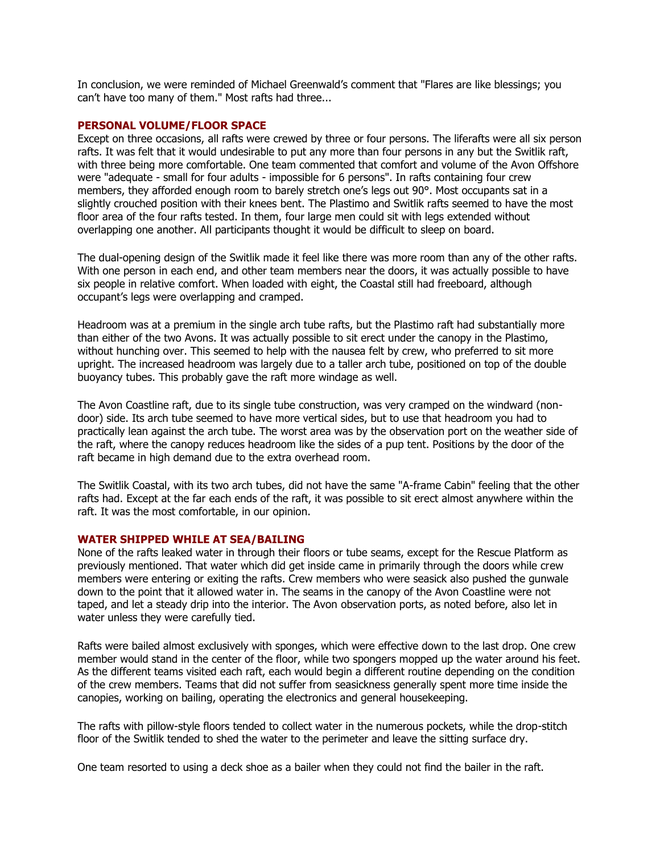In conclusion, we were reminded of Michael Greenwald's comment that "Flares are like blessings; you can't have too many of them." Most rafts had three...

### **PERSONAL VOLUME/FLOOR SPACE**

Except on three occasions, all rafts were crewed by three or four persons. The liferafts were all six person rafts. It was felt that it would undesirable to put any more than four persons in any but the Switlik raft, with three being more comfortable. One team commented that comfort and volume of the Avon Offshore were "adequate - small for four adults - impossible for 6 persons". In rafts containing four crew members, they afforded enough room to barely stretch one's legs out 90°. Most occupants sat in a slightly crouched position with their knees bent. The Plastimo and Switlik rafts seemed to have the most floor area of the four rafts tested. In them, four large men could sit with legs extended without overlapping one another. All participants thought it would be difficult to sleep on board.

The dual-opening design of the Switlik made it feel like there was more room than any of the other rafts. With one person in each end, and other team members near the doors, it was actually possible to have six people in relative comfort. When loaded with eight, the Coastal still had freeboard, although occupant's legs were overlapping and cramped.

Headroom was at a premium in the single arch tube rafts, but the Plastimo raft had substantially more than either of the two Avons. It was actually possible to sit erect under the canopy in the Plastimo, without hunching over. This seemed to help with the nausea felt by crew, who preferred to sit more upright. The increased headroom was largely due to a taller arch tube, positioned on top of the double buoyancy tubes. This probably gave the raft more windage as well.

The Avon Coastline raft, due to its single tube construction, was very cramped on the windward (nondoor) side. Its arch tube seemed to have more vertical sides, but to use that headroom you had to practically lean against the arch tube. The worst area was by the observation port on the weather side of the raft, where the canopy reduces headroom like the sides of a pup tent. Positions by the door of the raft became in high demand due to the extra overhead room.

The Switlik Coastal, with its two arch tubes, did not have the same "A-frame Cabin" feeling that the other rafts had. Except at the far each ends of the raft, it was possible to sit erect almost anywhere within the raft. It was the most comfortable, in our opinion.

## **WATER SHIPPED WHILE AT SEA/BAILING**

None of the rafts leaked water in through their floors or tube seams, except for the Rescue Platform as previously mentioned. That water which did get inside came in primarily through the doors while crew members were entering or exiting the rafts. Crew members who were seasick also pushed the gunwale down to the point that it allowed water in. The seams in the canopy of the Avon Coastline were not taped, and let a steady drip into the interior. The Avon observation ports, as noted before, also let in water unless they were carefully tied.

Rafts were bailed almost exclusively with sponges, which were effective down to the last drop. One crew member would stand in the center of the floor, while two spongers mopped up the water around his feet. As the different teams visited each raft, each would begin a different routine depending on the condition of the crew members. Teams that did not suffer from seasickness generally spent more time inside the canopies, working on bailing, operating the electronics and general housekeeping.

The rafts with pillow-style floors tended to collect water in the numerous pockets, while the drop-stitch floor of the Switlik tended to shed the water to the perimeter and leave the sitting surface dry.

One team resorted to using a deck shoe as a bailer when they could not find the bailer in the raft.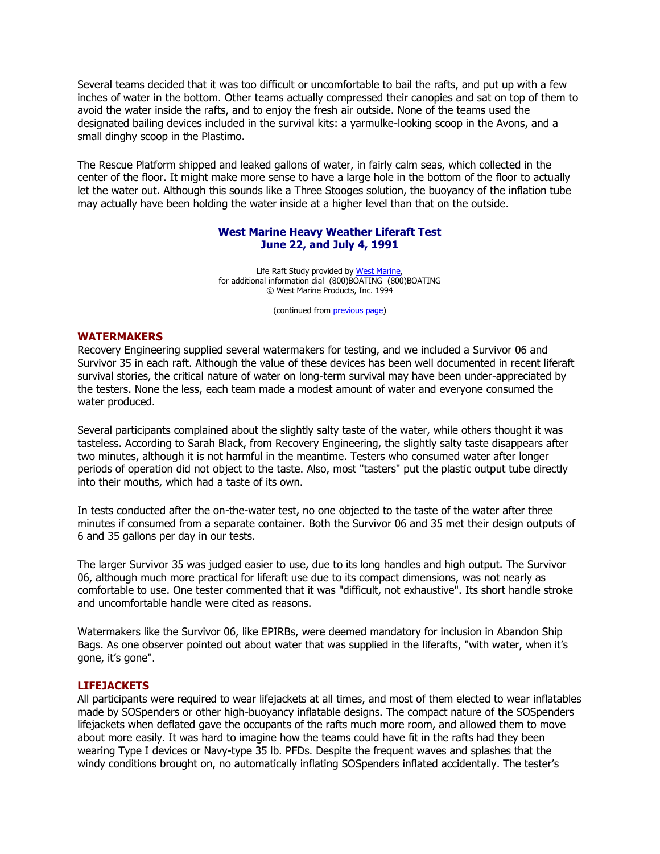Several teams decided that it was too difficult or uncomfortable to bail the rafts, and put up with a few inches of water in the bottom. Other teams actually compressed their canopies and sat on top of them to avoid the water inside the rafts, and to enjoy the fresh air outside. None of the teams used the designated bailing devices included in the survival kits: a yarmulke-looking scoop in the Avons, and a small dinghy scoop in the Plastimo.

The Rescue Platform shipped and leaked gallons of water, in fairly calm seas, which collected in the center of the floor. It might make more sense to have a large hole in the bottom of the floor to actually let the water out. Although this sounds like a Three Stooges solution, the buoyancy of the inflation tube may actually have been holding the water inside at a higher level than that on the outside.

## **West Marine Heavy Weather Liferaft Test June 22, and July 4, 1991**

Life Raft Study provided b[y West Marine,](http://www.westmarine.com/)  for additional information dial (800)BOATING (800)BOATING © West Marine Products, Inc. 1994

(continued from [previous page\)](http://www.ussailing.org/Safety/Studies/1991rafttest2.asp)

#### **WATERMAKERS**

Recovery Engineering supplied several watermakers for testing, and we included a Survivor 06 and Survivor 35 in each raft. Although the value of these devices has been well documented in recent liferaft survival stories, the critical nature of water on long-term survival may have been under-appreciated by the testers. None the less, each team made a modest amount of water and everyone consumed the water produced.

Several participants complained about the slightly salty taste of the water, while others thought it was tasteless. According to Sarah Black, from Recovery Engineering, the slightly salty taste disappears after two minutes, although it is not harmful in the meantime. Testers who consumed water after longer periods of operation did not object to the taste. Also, most "tasters" put the plastic output tube directly into their mouths, which had a taste of its own.

In tests conducted after the on-the-water test, no one objected to the taste of the water after three minutes if consumed from a separate container. Both the Survivor 06 and 35 met their design outputs of 6 and 35 gallons per day in our tests.

The larger Survivor 35 was judged easier to use, due to its long handles and high output. The Survivor 06, although much more practical for liferaft use due to its compact dimensions, was not nearly as comfortable to use. One tester commented that it was "difficult, not exhaustive". Its short handle stroke and uncomfortable handle were cited as reasons.

Watermakers like the Survivor 06, like EPIRBs, were deemed mandatory for inclusion in Abandon Ship Bags. As one observer pointed out about water that was supplied in the liferafts, "with water, when it's gone, it's gone".

#### **LIFEJACKETS**

All participants were required to wear lifejackets at all times, and most of them elected to wear inflatables made by SOSpenders or other high-buoyancy inflatable designs. The compact nature of the SOSpenders lifejackets when deflated gave the occupants of the rafts much more room, and allowed them to move about more easily. It was hard to imagine how the teams could have fit in the rafts had they been wearing Type I devices or Navy-type 35 lb. PFDs. Despite the frequent waves and splashes that the windy conditions brought on, no automatically inflating SOSpenders inflated accidentally. The tester's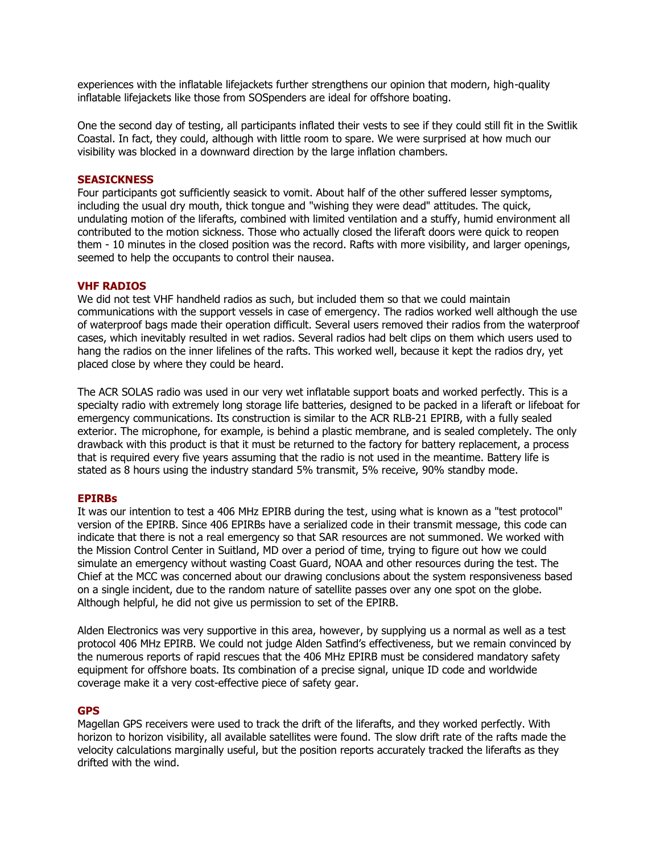experiences with the inflatable lifejackets further strengthens our opinion that modern, high-quality inflatable lifejackets like those from SOSpenders are ideal for offshore boating.

One the second day of testing, all participants inflated their vests to see if they could still fit in the Switlik Coastal. In fact, they could, although with little room to spare. We were surprised at how much our visibility was blocked in a downward direction by the large inflation chambers.

### **SEASICKNESS**

Four participants got sufficiently seasick to vomit. About half of the other suffered lesser symptoms, including the usual dry mouth, thick tongue and "wishing they were dead" attitudes. The quick, undulating motion of the liferafts, combined with limited ventilation and a stuffy, humid environment all contributed to the motion sickness. Those who actually closed the liferaft doors were quick to reopen them - 10 minutes in the closed position was the record. Rafts with more visibility, and larger openings, seemed to help the occupants to control their nausea.

## **VHF RADIOS**

We did not test VHF handheld radios as such, but included them so that we could maintain communications with the support vessels in case of emergency. The radios worked well although the use of waterproof bags made their operation difficult. Several users removed their radios from the waterproof cases, which inevitably resulted in wet radios. Several radios had belt clips on them which users used to hang the radios on the inner lifelines of the rafts. This worked well, because it kept the radios dry, yet placed close by where they could be heard.

The ACR SOLAS radio was used in our very wet inflatable support boats and worked perfectly. This is a specialty radio with extremely long storage life batteries, designed to be packed in a liferaft or lifeboat for emergency communications. Its construction is similar to the ACR RLB-21 EPIRB, with a fully sealed exterior. The microphone, for example, is behind a plastic membrane, and is sealed completely. The only drawback with this product is that it must be returned to the factory for battery replacement, a process that is required every five years assuming that the radio is not used in the meantime. Battery life is stated as 8 hours using the industry standard 5% transmit, 5% receive, 90% standby mode.

#### **EPIRBs**

It was our intention to test a 406 MHz EPIRB during the test, using what is known as a "test protocol" version of the EPIRB. Since 406 EPIRBs have a serialized code in their transmit message, this code can indicate that there is not a real emergency so that SAR resources are not summoned. We worked with the Mission Control Center in Suitland, MD over a period of time, trying to figure out how we could simulate an emergency without wasting Coast Guard, NOAA and other resources during the test. The Chief at the MCC was concerned about our drawing conclusions about the system responsiveness based on a single incident, due to the random nature of satellite passes over any one spot on the globe. Although helpful, he did not give us permission to set of the EPIRB.

Alden Electronics was very supportive in this area, however, by supplying us a normal as well as a test protocol 406 MHz EPIRB. We could not judge Alden Satfind's effectiveness, but we remain convinced by the numerous reports of rapid rescues that the 406 MHz EPIRB must be considered mandatory safety equipment for offshore boats. Its combination of a precise signal, unique ID code and worldwide coverage make it a very cost-effective piece of safety gear.

## **GPS**

Magellan GPS receivers were used to track the drift of the liferafts, and they worked perfectly. With horizon to horizon visibility, all available satellites were found. The slow drift rate of the rafts made the velocity calculations marginally useful, but the position reports accurately tracked the liferafts as they drifted with the wind.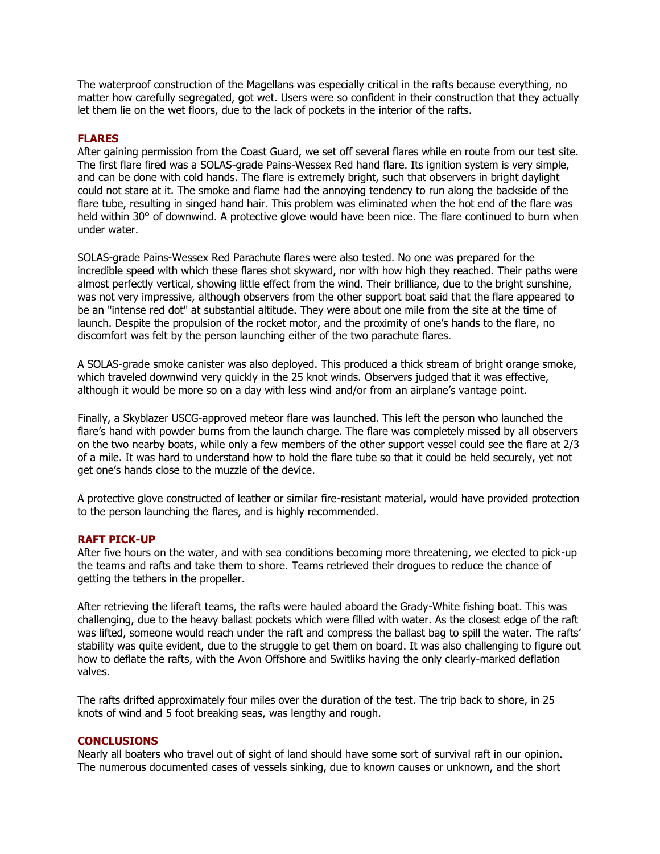The waterproof construction of the Magellans was especially critical in the rafts because everything, no matter how carefully segregated, got wet. Users were so confident in their construction that they actually let them lie on the wet floors, due to the lack of pockets in the interior of the rafts.

## **FLARES**

After gaining permission from the Coast Guard, we set off several flares while en route from our test site. The first flare fired was a SOLAS-grade Pains-Wessex Red hand flare. Its ignition system is very simple, and can be done with cold hands. The flare is extremely bright, such that observers in bright daylight could not stare at it. The smoke and flame had the annoying tendency to run along the backside of the flare tube, resulting in singed hand hair. This problem was eliminated when the hot end of the flare was held within 30° of downwind. A protective glove would have been nice. The flare continued to burn when under water.

SOLAS-grade Pains-Wessex Red Parachute flares were also tested. No one was prepared for the incredible speed with which these flares shot skyward, nor with how high they reached. Their paths were almost perfectly vertical, showing little effect from the wind. Their brilliance, due to the bright sunshine, was not very impressive, although observers from the other support boat said that the flare appeared to be an "intense red dot" at substantial altitude. They were about one mile from the site at the time of launch. Despite the propulsion of the rocket motor, and the proximity of one's hands to the flare, no discomfort was felt by the person launching either of the two parachute flares.

A SOLAS-grade smoke canister was also deployed. This produced a thick stream of bright orange smoke, which traveled downwind very quickly in the 25 knot winds. Observers judged that it was effective, although it would be more so on a day with less wind and/or from an airplane's vantage point.

Finally, a Skyblazer USCG-approved meteor flare was launched. This left the person who launched the flare's hand with powder burns from the launch charge. The flare was completely missed by all observers on the two nearby boats, while only a few members of the other support vessel could see the flare at 2/3 of a mile. It was hard to understand how to hold the flare tube so that it could be held securely, yet not get one's hands close to the muzzle of the device.

A protective glove constructed of leather or similar fire-resistant material, would have provided protection to the person launching the flares, and is highly recommended.

## **RAFT PICK-UP**

After five hours on the water, and with sea conditions becoming more threatening, we elected to pick-up the teams and rafts and take them to shore. Teams retrieved their drogues to reduce the chance of getting the tethers in the propeller.

After retrieving the liferaft teams, the rafts were hauled aboard the Grady-White fishing boat. This was challenging, due to the heavy ballast pockets which were filled with water. As the closest edge of the raft was lifted, someone would reach under the raft and compress the ballast bag to spill the water. The rafts' stability was quite evident, due to the struggle to get them on board. It was also challenging to figure out how to deflate the rafts, with the Avon Offshore and Switliks having the only clearly-marked deflation valves.

The rafts drifted approximately four miles over the duration of the test. The trip back to shore, in 25 knots of wind and 5 foot breaking seas, was lengthy and rough.

## **CONCLUSIONS**

Nearly all boaters who travel out of sight of land should have some sort of survival raft in our opinion. The numerous documented cases of vessels sinking, due to known causes or unknown, and the short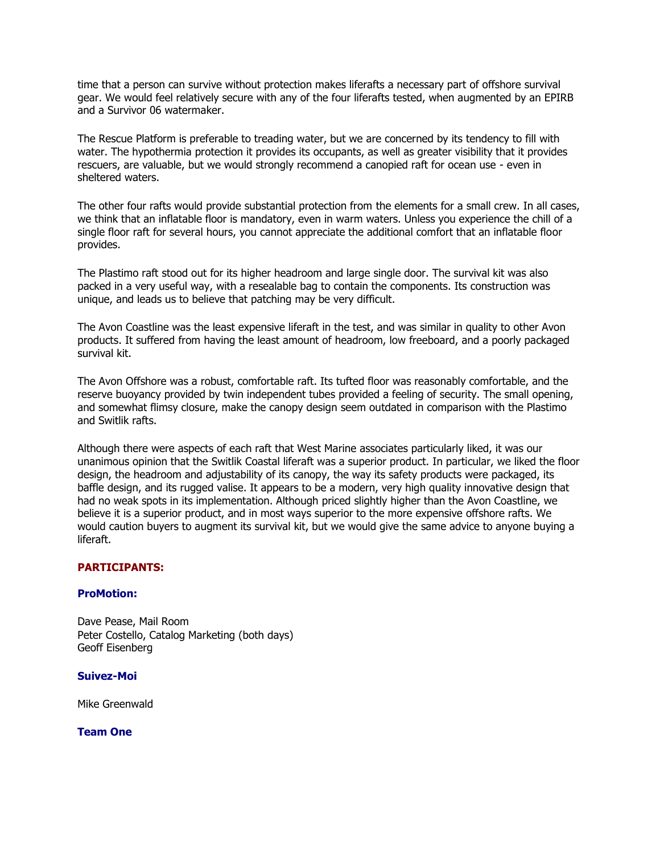time that a person can survive without protection makes liferafts a necessary part of offshore survival gear. We would feel relatively secure with any of the four liferafts tested, when augmented by an EPIRB and a Survivor 06 watermaker.

The Rescue Platform is preferable to treading water, but we are concerned by its tendency to fill with water. The hypothermia protection it provides its occupants, as well as greater visibility that it provides rescuers, are valuable, but we would strongly recommend a canopied raft for ocean use - even in sheltered waters.

The other four rafts would provide substantial protection from the elements for a small crew. In all cases, we think that an inflatable floor is mandatory, even in warm waters. Unless you experience the chill of a single floor raft for several hours, you cannot appreciate the additional comfort that an inflatable floor provides.

The Plastimo raft stood out for its higher headroom and large single door. The survival kit was also packed in a very useful way, with a resealable bag to contain the components. Its construction was unique, and leads us to believe that patching may be very difficult.

The Avon Coastline was the least expensive liferaft in the test, and was similar in quality to other Avon products. It suffered from having the least amount of headroom, low freeboard, and a poorly packaged survival kit.

The Avon Offshore was a robust, comfortable raft. Its tufted floor was reasonably comfortable, and the reserve buoyancy provided by twin independent tubes provided a feeling of security. The small opening, and somewhat flimsy closure, make the canopy design seem outdated in comparison with the Plastimo and Switlik rafts.

Although there were aspects of each raft that West Marine associates particularly liked, it was our unanimous opinion that the Switlik Coastal liferaft was a superior product. In particular, we liked the floor design, the headroom and adjustability of its canopy, the way its safety products were packaged, its baffle design, and its rugged valise. It appears to be a modern, very high quality innovative design that had no weak spots in its implementation. Although priced slightly higher than the Avon Coastline, we believe it is a superior product, and in most ways superior to the more expensive offshore rafts. We would caution buyers to augment its survival kit, but we would give the same advice to anyone buying a liferaft.

## **PARTICIPANTS:**

## **ProMotion:**

Dave Pease, Mail Room Peter Costello, Catalog Marketing (both days) Geoff Eisenberg

## **Suivez-Moi**

Mike Greenwald

**Team One**